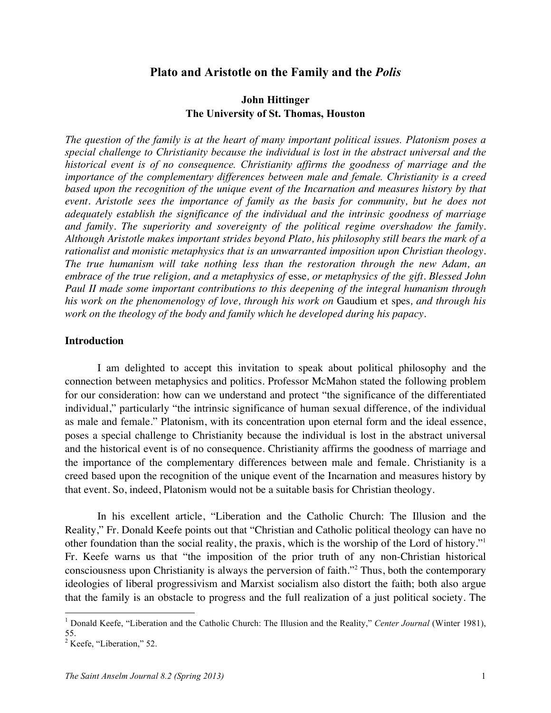## **Plato and Aristotle on the Family and the** *Polis*

# **John Hittinger The University of St. Thomas, Houston**

*The question of the family is at the heart of many important political issues. Platonism poses a special challenge to Christianity because the individual is lost in the abstract universal and the historical event is of no consequence. Christianity affirms the goodness of marriage and the importance of the complementary differences between male and female. Christianity is a creed based upon the recognition of the unique event of the Incarnation and measures history by that event. Aristotle sees the importance of family as the basis for community, but he does not adequately establish the significance of the individual and the intrinsic goodness of marriage and family. The superiority and sovereignty of the political regime overshadow the family. Although Aristotle makes important strides beyond Plato, his philosophy still bears the mark of a rationalist and monistic metaphysics that is an unwarranted imposition upon Christian theology. The true humanism will take nothing less than the restoration through the new Adam, an embrace of the true religion, and a metaphysics of* esse*, or metaphysics of the gift. Blessed John Paul II made some important contributions to this deepening of the integral humanism through his work on the phenomenology of love, through his work on* Gaudium et spes*, and through his work on the theology of the body and family which he developed during his papacy.* 

#### **Introduction**

I am delighted to accept this invitation to speak about political philosophy and the connection between metaphysics and politics. Professor McMahon stated the following problem for our consideration: how can we understand and protect "the significance of the differentiated individual," particularly "the intrinsic significance of human sexual difference, of the individual as male and female." Platonism, with its concentration upon eternal form and the ideal essence, poses a special challenge to Christianity because the individual is lost in the abstract universal and the historical event is of no consequence. Christianity affirms the goodness of marriage and the importance of the complementary differences between male and female. Christianity is a creed based upon the recognition of the unique event of the Incarnation and measures history by that event. So, indeed, Platonism would not be a suitable basis for Christian theology.

In his excellent article, "Liberation and the Catholic Church: The Illusion and the Reality," Fr. Donald Keefe points out that "Christian and Catholic political theology can have no other foundation than the social reality, the praxis, which is the worship of the Lord of history."1 Fr. Keefe warns us that "the imposition of the prior truth of any non-Christian historical consciousness upon Christianity is always the perversion of faith."<sup>2</sup> Thus, both the contemporary ideologies of liberal progressivism and Marxist socialism also distort the faith; both also argue that the family is an obstacle to progress and the full realization of a just political society. The

<sup>&</sup>lt;sup>1</sup> Donald Keefe, "Liberation and the Catholic Church: The Illusion and the Reality," *Center Journal* (Winter 1981), 55.

 $<sup>2</sup>$  Keefe, "Liberation," 52.</sup>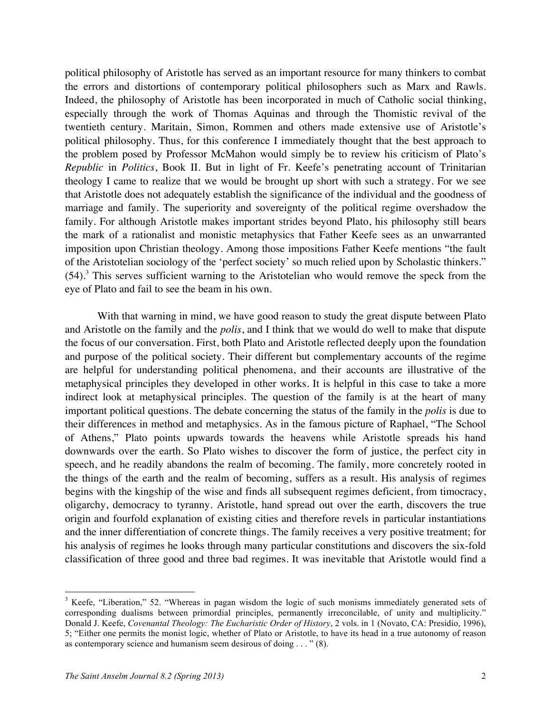political philosophy of Aristotle has served as an important resource for many thinkers to combat the errors and distortions of contemporary political philosophers such as Marx and Rawls. Indeed, the philosophy of Aristotle has been incorporated in much of Catholic social thinking, especially through the work of Thomas Aquinas and through the Thomistic revival of the twentieth century. Maritain, Simon, Rommen and others made extensive use of Aristotle's political philosophy. Thus, for this conference I immediately thought that the best approach to the problem posed by Professor McMahon would simply be to review his criticism of Plato's *Republic* in *Politics*, Book II. But in light of Fr. Keefe's penetrating account of Trinitarian theology I came to realize that we would be brought up short with such a strategy. For we see that Aristotle does not adequately establish the significance of the individual and the goodness of marriage and family. The superiority and sovereignty of the political regime overshadow the family. For although Aristotle makes important strides beyond Plato, his philosophy still bears the mark of a rationalist and monistic metaphysics that Father Keefe sees as an unwarranted imposition upon Christian theology. Among those impositions Father Keefe mentions "the fault of the Aristotelian sociology of the 'perfect society' so much relied upon by Scholastic thinkers."  $(54)$ .<sup>3</sup> This serves sufficient warning to the Aristotelian who would remove the speck from the eye of Plato and fail to see the beam in his own.

With that warning in mind, we have good reason to study the great dispute between Plato and Aristotle on the family and the *polis*, and I think that we would do well to make that dispute the focus of our conversation. First, both Plato and Aristotle reflected deeply upon the foundation and purpose of the political society. Their different but complementary accounts of the regime are helpful for understanding political phenomena, and their accounts are illustrative of the metaphysical principles they developed in other works. It is helpful in this case to take a more indirect look at metaphysical principles. The question of the family is at the heart of many important political questions. The debate concerning the status of the family in the *polis* is due to their differences in method and metaphysics. As in the famous picture of Raphael, "The School of Athens," Plato points upwards towards the heavens while Aristotle spreads his hand downwards over the earth. So Plato wishes to discover the form of justice, the perfect city in speech, and he readily abandons the realm of becoming. The family, more concretely rooted in the things of the earth and the realm of becoming, suffers as a result. His analysis of regimes begins with the kingship of the wise and finds all subsequent regimes deficient, from timocracy, oligarchy, democracy to tyranny. Aristotle, hand spread out over the earth, discovers the true origin and fourfold explanation of existing cities and therefore revels in particular instantiations and the inner differentiation of concrete things. The family receives a very positive treatment; for his analysis of regimes he looks through many particular constitutions and discovers the six-fold classification of three good and three bad regimes. It was inevitable that Aristotle would find a

<sup>&</sup>lt;sup>3</sup> Keefe, "Liberation," 52. "Whereas in pagan wisdom the logic of such monisms immediately generated sets of corresponding dualisms between primordial principles, permanently irreconcilable, of unity and multiplicity." Donald J. Keefe, *Covenantal Theology: The Eucharistic Order of History*, 2 vols. in 1 (Novato, CA: Presidio, 1996), 5; "Either one permits the monist logic, whether of Plato or Aristotle, to have its head in a true autonomy of reason as contemporary science and humanism seem desirous of doing . . . " (8).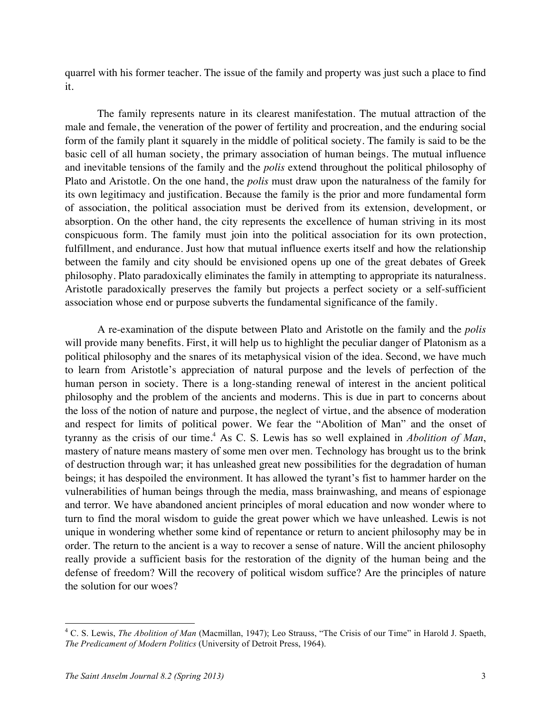quarrel with his former teacher. The issue of the family and property was just such a place to find it.

The family represents nature in its clearest manifestation. The mutual attraction of the male and female, the veneration of the power of fertility and procreation, and the enduring social form of the family plant it squarely in the middle of political society. The family is said to be the basic cell of all human society, the primary association of human beings. The mutual influence and inevitable tensions of the family and the *polis* extend throughout the political philosophy of Plato and Aristotle. On the one hand, the *polis* must draw upon the naturalness of the family for its own legitimacy and justification. Because the family is the prior and more fundamental form of association, the political association must be derived from its extension, development, or absorption. On the other hand, the city represents the excellence of human striving in its most conspicuous form. The family must join into the political association for its own protection, fulfillment, and endurance. Just how that mutual influence exerts itself and how the relationship between the family and city should be envisioned opens up one of the great debates of Greek philosophy. Plato paradoxically eliminates the family in attempting to appropriate its naturalness. Aristotle paradoxically preserves the family but projects a perfect society or a self-sufficient association whose end or purpose subverts the fundamental significance of the family.

A re-examination of the dispute between Plato and Aristotle on the family and the *polis* will provide many benefits. First, it will help us to highlight the peculiar danger of Platonism as a political philosophy and the snares of its metaphysical vision of the idea. Second, we have much to learn from Aristotle's appreciation of natural purpose and the levels of perfection of the human person in society. There is a long-standing renewal of interest in the ancient political philosophy and the problem of the ancients and moderns. This is due in part to concerns about the loss of the notion of nature and purpose, the neglect of virtue, and the absence of moderation and respect for limits of political power. We fear the "Abolition of Man" and the onset of tyranny as the crisis of our time.4 As C. S. Lewis has so well explained in *Abolition of Man*, mastery of nature means mastery of some men over men. Technology has brought us to the brink of destruction through war; it has unleashed great new possibilities for the degradation of human beings; it has despoiled the environment. It has allowed the tyrant's fist to hammer harder on the vulnerabilities of human beings through the media, mass brainwashing, and means of espionage and terror. We have abandoned ancient principles of moral education and now wonder where to turn to find the moral wisdom to guide the great power which we have unleashed. Lewis is not unique in wondering whether some kind of repentance or return to ancient philosophy may be in order. The return to the ancient is a way to recover a sense of nature. Will the ancient philosophy really provide a sufficient basis for the restoration of the dignity of the human being and the defense of freedom? Will the recovery of political wisdom suffice? Are the principles of nature the solution for our woes?

 <sup>4</sup> C. S. Lewis, *The Abolition of Man* (Macmillan, 1947); Leo Strauss, "The Crisis of our Time" in Harold J. Spaeth, *The Predicament of Modern Politics* (University of Detroit Press, 1964).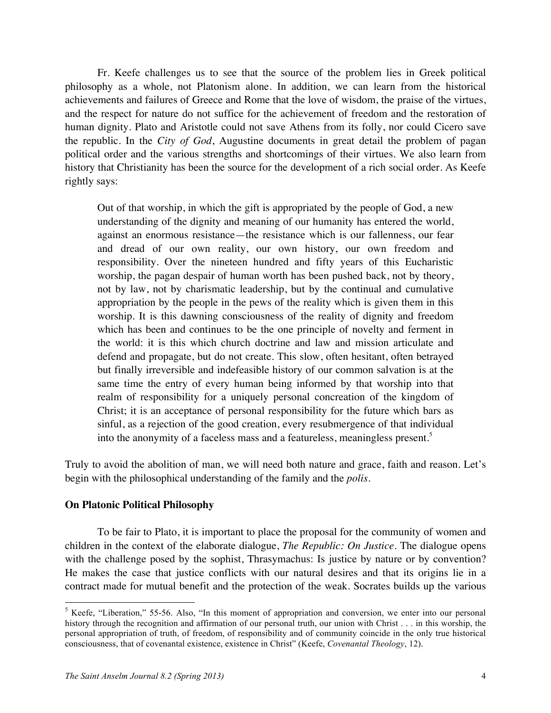Fr. Keefe challenges us to see that the source of the problem lies in Greek political philosophy as a whole, not Platonism alone. In addition, we can learn from the historical achievements and failures of Greece and Rome that the love of wisdom, the praise of the virtues, and the respect for nature do not suffice for the achievement of freedom and the restoration of human dignity. Plato and Aristotle could not save Athens from its folly, nor could Cicero save the republic. In the *City of God*, Augustine documents in great detail the problem of pagan political order and the various strengths and shortcomings of their virtues. We also learn from history that Christianity has been the source for the development of a rich social order. As Keefe rightly says:

Out of that worship, in which the gift is appropriated by the people of God, a new understanding of the dignity and meaning of our humanity has entered the world, against an enormous resistance—the resistance which is our fallenness, our fear and dread of our own reality, our own history, our own freedom and responsibility. Over the nineteen hundred and fifty years of this Eucharistic worship, the pagan despair of human worth has been pushed back, not by theory, not by law, not by charismatic leadership, but by the continual and cumulative appropriation by the people in the pews of the reality which is given them in this worship. It is this dawning consciousness of the reality of dignity and freedom which has been and continues to be the one principle of novelty and ferment in the world: it is this which church doctrine and law and mission articulate and defend and propagate, but do not create. This slow, often hesitant, often betrayed but finally irreversible and indefeasible history of our common salvation is at the same time the entry of every human being informed by that worship into that realm of responsibility for a uniquely personal concreation of the kingdom of Christ; it is an acceptance of personal responsibility for the future which bars as sinful, as a rejection of the good creation, every resubmergence of that individual into the anonymity of a faceless mass and a featureless, meaningless present.<sup>5</sup>

Truly to avoid the abolition of man, we will need both nature and grace, faith and reason. Let's begin with the philosophical understanding of the family and the *polis*.

## **On Platonic Political Philosophy**

To be fair to Plato, it is important to place the proposal for the community of women and children in the context of the elaborate dialogue, *The Republic: On Justice*. The dialogue opens with the challenge posed by the sophist, Thrasymachus: Is justice by nature or by convention? He makes the case that justice conflicts with our natural desires and that its origins lie in a contract made for mutual benefit and the protection of the weak. Socrates builds up the various

<sup>&</sup>lt;sup>5</sup> Keefe, "Liberation," 55-56. Also, "In this moment of appropriation and conversion, we enter into our personal history through the recognition and affirmation of our personal truth, our union with Christ . . . in this worship, the personal appropriation of truth, of freedom, of responsibility and of community coincide in the only true historical consciousness, that of covenantal existence, existence in Christ" (Keefe, *Covenantal Theology*, 12).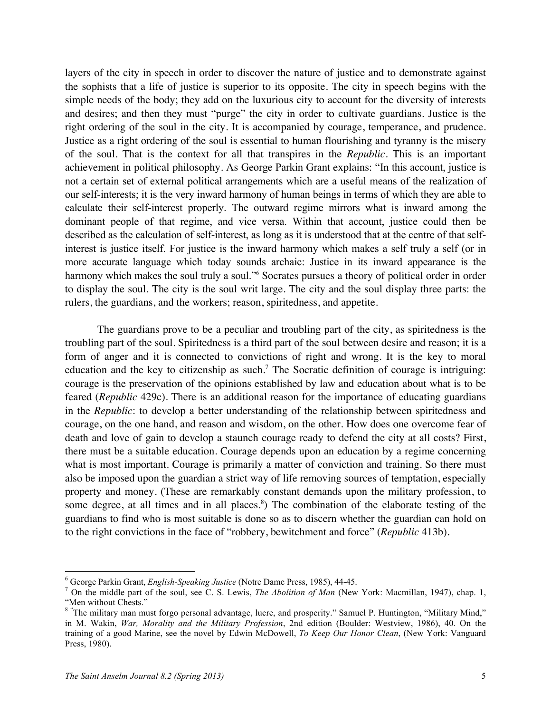layers of the city in speech in order to discover the nature of justice and to demonstrate against the sophists that a life of justice is superior to its opposite. The city in speech begins with the simple needs of the body; they add on the luxurious city to account for the diversity of interests and desires; and then they must "purge" the city in order to cultivate guardians. Justice is the right ordering of the soul in the city. It is accompanied by courage, temperance, and prudence. Justice as a right ordering of the soul is essential to human flourishing and tyranny is the misery of the soul. That is the context for all that transpires in the *Republic*. This is an important achievement in political philosophy. As George Parkin Grant explains: "In this account, justice is not a certain set of external political arrangements which are a useful means of the realization of our self-interests; it is the very inward harmony of human beings in terms of which they are able to calculate their self-interest properly. The outward regime mirrors what is inward among the dominant people of that regime, and vice versa. Within that account, justice could then be described as the calculation of self-interest, as long as it is understood that at the centre of that selfinterest is justice itself. For justice is the inward harmony which makes a self truly a self (or in more accurate language which today sounds archaic: Justice in its inward appearance is the harmony which makes the soul truly a soul."<sup>6</sup> Socrates pursues a theory of political order in order to display the soul. The city is the soul writ large. The city and the soul display three parts: the rulers, the guardians, and the workers; reason, spiritedness, and appetite.

The guardians prove to be a peculiar and troubling part of the city, as spiritedness is the troubling part of the soul. Spiritedness is a third part of the soul between desire and reason; it is a form of anger and it is connected to convictions of right and wrong. It is the key to moral education and the key to citizenship as such.<sup>7</sup> The Socratic definition of courage is intriguing: courage is the preservation of the opinions established by law and education about what is to be feared (*Republic* 429c). There is an additional reason for the importance of educating guardians in the *Republic*: to develop a better understanding of the relationship between spiritedness and courage, on the one hand, and reason and wisdom, on the other. How does one overcome fear of death and love of gain to develop a staunch courage ready to defend the city at all costs? First, there must be a suitable education. Courage depends upon an education by a regime concerning what is most important. Courage is primarily a matter of conviction and training. So there must also be imposed upon the guardian a strict way of life removing sources of temptation, especially property and money. (These are remarkably constant demands upon the military profession, to some degree, at all times and in all places. 8 ) The combination of the elaborate testing of the guardians to find who is most suitable is done so as to discern whether the guardian can hold on to the right convictions in the face of "robbery, bewitchment and force" (*Republic* 413b).

<sup>6</sup> George Parkin Grant, *English-Speaking Justice* (Notre Dame Press, 1985), 44-45. <sup>7</sup> On the middle part of the soul, see C. S. Lewis, *The Abolition of Man* (New York: Macmillan, 1947), chap. 1, "Men without Chests."

<sup>&</sup>lt;sup>8</sup> "The military man must forgo personal advantage, lucre, and prosperity." Samuel P. Huntington, "Military Mind," in M. Wakin, *War, Morality and the Military Profession*, 2nd edition (Boulder: Westview, 1986), 40. On the training of a good Marine, see the novel by Edwin McDowell, *To Keep Our Honor Clean*, (New York: Vanguard Press, 1980).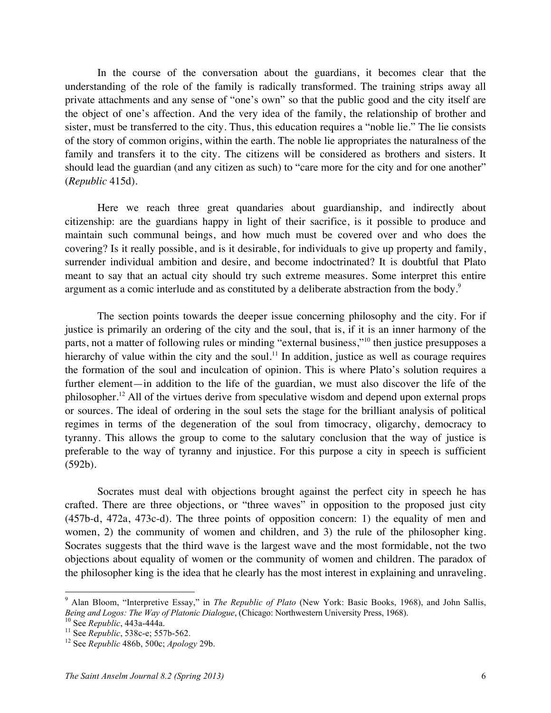In the course of the conversation about the guardians, it becomes clear that the understanding of the role of the family is radically transformed. The training strips away all private attachments and any sense of "one's own" so that the public good and the city itself are the object of one's affection. And the very idea of the family, the relationship of brother and sister, must be transferred to the city. Thus, this education requires a "noble lie." The lie consists of the story of common origins, within the earth. The noble lie appropriates the naturalness of the family and transfers it to the city. The citizens will be considered as brothers and sisters. It should lead the guardian (and any citizen as such) to "care more for the city and for one another" (*Republic* 415d).

Here we reach three great quandaries about guardianship, and indirectly about citizenship: are the guardians happy in light of their sacrifice, is it possible to produce and maintain such communal beings, and how much must be covered over and who does the covering? Is it really possible, and is it desirable, for individuals to give up property and family, surrender individual ambition and desire, and become indoctrinated? It is doubtful that Plato meant to say that an actual city should try such extreme measures. Some interpret this entire argument as a comic interlude and as constituted by a deliberate abstraction from the body.<sup>9</sup>

The section points towards the deeper issue concerning philosophy and the city. For if justice is primarily an ordering of the city and the soul, that is, if it is an inner harmony of the parts, not a matter of following rules or minding "external business,"<sup>10</sup> then justice presupposes a hierarchy of value within the city and the soul.<sup>11</sup> In addition, justice as well as courage requires the formation of the soul and inculcation of opinion. This is where Plato's solution requires a further element—in addition to the life of the guardian, we must also discover the life of the philosopher.<sup>12</sup> All of the virtues derive from speculative wisdom and depend upon external props or sources. The ideal of ordering in the soul sets the stage for the brilliant analysis of political regimes in terms of the degeneration of the soul from timocracy, oligarchy, democracy to tyranny. This allows the group to come to the salutary conclusion that the way of justice is preferable to the way of tyranny and injustice. For this purpose a city in speech is sufficient (592b).

Socrates must deal with objections brought against the perfect city in speech he has crafted. There are three objections, or "three waves" in opposition to the proposed just city (457b-d, 472a, 473c-d). The three points of opposition concern: 1) the equality of men and women, 2) the community of women and children, and 3) the rule of the philosopher king. Socrates suggests that the third wave is the largest wave and the most formidable, not the two objections about equality of women or the community of women and children. The paradox of the philosopher king is the idea that he clearly has the most interest in explaining and unraveling.

 <sup>9</sup> Alan Bloom, "Interpretive Essay," in *The Republic of Plato* (New York: Basic Books, 1968), and John Sallis, Being and Logos: The Way of Platonic Dialogue, (Chicago: Northwestern University Press, 1968).<br><sup>10</sup> See Republic, 443a-444a.<br><sup>11</sup> See Republic, 538c-e; 557b-562.<br><sup>12</sup> See Republic 486b, 500c; Apology 29b.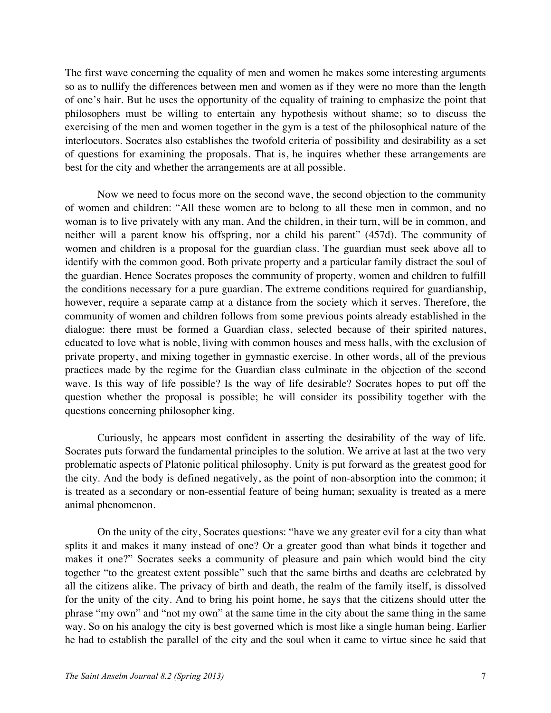The first wave concerning the equality of men and women he makes some interesting arguments so as to nullify the differences between men and women as if they were no more than the length of one's hair. But he uses the opportunity of the equality of training to emphasize the point that philosophers must be willing to entertain any hypothesis without shame; so to discuss the exercising of the men and women together in the gym is a test of the philosophical nature of the interlocutors. Socrates also establishes the twofold criteria of possibility and desirability as a set of questions for examining the proposals. That is, he inquires whether these arrangements are best for the city and whether the arrangements are at all possible.

Now we need to focus more on the second wave, the second objection to the community of women and children: "All these women are to belong to all these men in common, and no woman is to live privately with any man. And the children, in their turn, will be in common, and neither will a parent know his offspring, nor a child his parent" (457d). The community of women and children is a proposal for the guardian class. The guardian must seek above all to identify with the common good. Both private property and a particular family distract the soul of the guardian. Hence Socrates proposes the community of property, women and children to fulfill the conditions necessary for a pure guardian. The extreme conditions required for guardianship, however, require a separate camp at a distance from the society which it serves. Therefore, the community of women and children follows from some previous points already established in the dialogue: there must be formed a Guardian class, selected because of their spirited natures, educated to love what is noble, living with common houses and mess halls, with the exclusion of private property, and mixing together in gymnastic exercise. In other words, all of the previous practices made by the regime for the Guardian class culminate in the objection of the second wave. Is this way of life possible? Is the way of life desirable? Socrates hopes to put off the question whether the proposal is possible; he will consider its possibility together with the questions concerning philosopher king.

Curiously, he appears most confident in asserting the desirability of the way of life. Socrates puts forward the fundamental principles to the solution. We arrive at last at the two very problematic aspects of Platonic political philosophy. Unity is put forward as the greatest good for the city. And the body is defined negatively, as the point of non-absorption into the common; it is treated as a secondary or non-essential feature of being human; sexuality is treated as a mere animal phenomenon.

On the unity of the city, Socrates questions: "have we any greater evil for a city than what splits it and makes it many instead of one? Or a greater good than what binds it together and makes it one?" Socrates seeks a community of pleasure and pain which would bind the city together "to the greatest extent possible" such that the same births and deaths are celebrated by all the citizens alike. The privacy of birth and death, the realm of the family itself, is dissolved for the unity of the city. And to bring his point home, he says that the citizens should utter the phrase "my own" and "not my own" at the same time in the city about the same thing in the same way. So on his analogy the city is best governed which is most like a single human being. Earlier he had to establish the parallel of the city and the soul when it came to virtue since he said that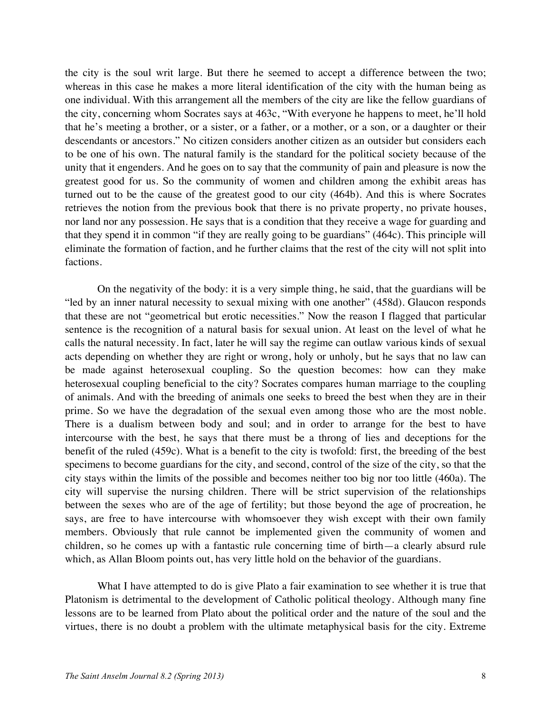the city is the soul writ large. But there he seemed to accept a difference between the two; whereas in this case he makes a more literal identification of the city with the human being as one individual. With this arrangement all the members of the city are like the fellow guardians of the city, concerning whom Socrates says at 463c, "With everyone he happens to meet, he'll hold that he's meeting a brother, or a sister, or a father, or a mother, or a son, or a daughter or their descendants or ancestors." No citizen considers another citizen as an outsider but considers each to be one of his own. The natural family is the standard for the political society because of the unity that it engenders. And he goes on to say that the community of pain and pleasure is now the greatest good for us. So the community of women and children among the exhibit areas has turned out to be the cause of the greatest good to our city (464b). And this is where Socrates retrieves the notion from the previous book that there is no private property, no private houses, nor land nor any possession. He says that is a condition that they receive a wage for guarding and that they spend it in common "if they are really going to be guardians" (464c). This principle will eliminate the formation of faction, and he further claims that the rest of the city will not split into factions.

On the negativity of the body: it is a very simple thing, he said, that the guardians will be "led by an inner natural necessity to sexual mixing with one another" (458d). Glaucon responds that these are not "geometrical but erotic necessities." Now the reason I flagged that particular sentence is the recognition of a natural basis for sexual union. At least on the level of what he calls the natural necessity. In fact, later he will say the regime can outlaw various kinds of sexual acts depending on whether they are right or wrong, holy or unholy, but he says that no law can be made against heterosexual coupling. So the question becomes: how can they make heterosexual coupling beneficial to the city? Socrates compares human marriage to the coupling of animals. And with the breeding of animals one seeks to breed the best when they are in their prime. So we have the degradation of the sexual even among those who are the most noble. There is a dualism between body and soul; and in order to arrange for the best to have intercourse with the best, he says that there must be a throng of lies and deceptions for the benefit of the ruled (459c). What is a benefit to the city is twofold: first, the breeding of the best specimens to become guardians for the city, and second, control of the size of the city, so that the city stays within the limits of the possible and becomes neither too big nor too little (460a). The city will supervise the nursing children. There will be strict supervision of the relationships between the sexes who are of the age of fertility; but those beyond the age of procreation, he says, are free to have intercourse with whomsoever they wish except with their own family members. Obviously that rule cannot be implemented given the community of women and children, so he comes up with a fantastic rule concerning time of birth—a clearly absurd rule which, as Allan Bloom points out, has very little hold on the behavior of the guardians.

What I have attempted to do is give Plato a fair examination to see whether it is true that Platonism is detrimental to the development of Catholic political theology. Although many fine lessons are to be learned from Plato about the political order and the nature of the soul and the virtues, there is no doubt a problem with the ultimate metaphysical basis for the city. Extreme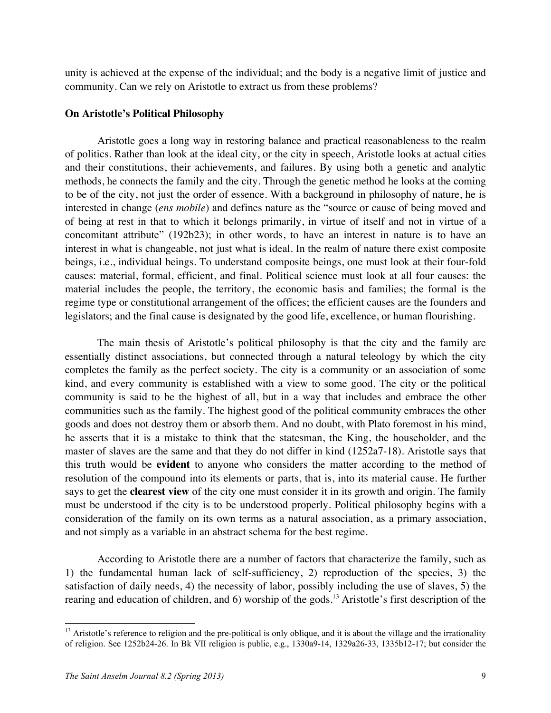unity is achieved at the expense of the individual; and the body is a negative limit of justice and community. Can we rely on Aristotle to extract us from these problems?

### **On Aristotle's Political Philosophy**

Aristotle goes a long way in restoring balance and practical reasonableness to the realm of politics. Rather than look at the ideal city, or the city in speech, Aristotle looks at actual cities and their constitutions, their achievements, and failures. By using both a genetic and analytic methods, he connects the family and the city. Through the genetic method he looks at the coming to be of the city, not just the order of essence. With a background in philosophy of nature, he is interested in change (*ens mobile*) and defines nature as the "source or cause of being moved and of being at rest in that to which it belongs primarily, in virtue of itself and not in virtue of a concomitant attribute" (192b23); in other words, to have an interest in nature is to have an interest in what is changeable, not just what is ideal. In the realm of nature there exist composite beings, i.e., individual beings. To understand composite beings, one must look at their four-fold causes: material, formal, efficient, and final. Political science must look at all four causes: the material includes the people, the territory, the economic basis and families; the formal is the regime type or constitutional arrangement of the offices; the efficient causes are the founders and legislators; and the final cause is designated by the good life, excellence, or human flourishing.

The main thesis of Aristotle's political philosophy is that the city and the family are essentially distinct associations, but connected through a natural teleology by which the city completes the family as the perfect society. The city is a community or an association of some kind, and every community is established with a view to some good. The city or the political community is said to be the highest of all, but in a way that includes and embrace the other communities such as the family. The highest good of the political community embraces the other goods and does not destroy them or absorb them. And no doubt, with Plato foremost in his mind, he asserts that it is a mistake to think that the statesman, the King, the householder, and the master of slaves are the same and that they do not differ in kind (1252a7-18). Aristotle says that this truth would be **evident** to anyone who considers the matter according to the method of resolution of the compound into its elements or parts, that is, into its material cause. He further says to get the **clearest view** of the city one must consider it in its growth and origin. The family must be understood if the city is to be understood properly. Political philosophy begins with a consideration of the family on its own terms as a natural association, as a primary association, and not simply as a variable in an abstract schema for the best regime.

According to Aristotle there are a number of factors that characterize the family, such as 1) the fundamental human lack of self-sufficiency, 2) reproduction of the species, 3) the satisfaction of daily needs, 4) the necessity of labor, possibly including the use of slaves, 5) the rearing and education of children, and 6) worship of the gods.<sup>13</sup> Aristotle's first description of the

<sup>&</sup>lt;sup>13</sup> Aristotle's reference to religion and the pre-political is only oblique, and it is about the village and the irrationality of religion. See 1252b24-26. In Bk VII religion is public, e.g., 1330a9-14, 1329a26-33, 1335b12-17; but consider the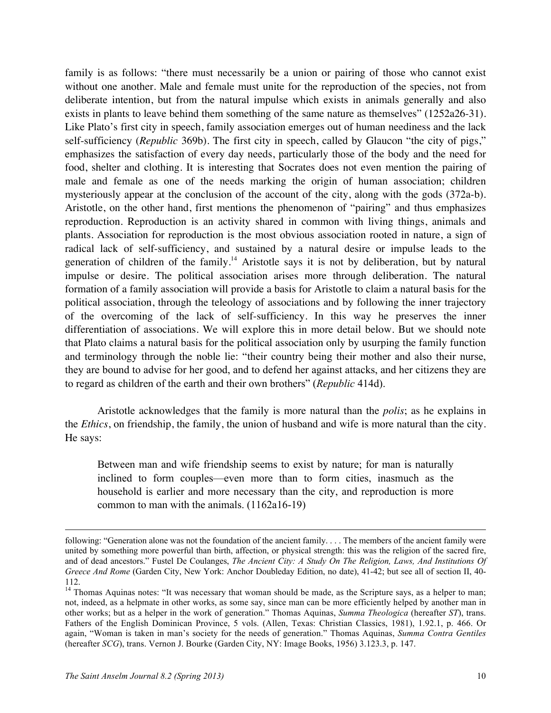family is as follows: "there must necessarily be a union or pairing of those who cannot exist without one another. Male and female must unite for the reproduction of the species, not from deliberate intention, but from the natural impulse which exists in animals generally and also exists in plants to leave behind them something of the same nature as themselves" (1252a26-31). Like Plato's first city in speech, family association emerges out of human neediness and the lack self-sufficiency (*Republic* 369b). The first city in speech, called by Glaucon "the city of pigs," emphasizes the satisfaction of every day needs, particularly those of the body and the need for food, shelter and clothing. It is interesting that Socrates does not even mention the pairing of male and female as one of the needs marking the origin of human association; children mysteriously appear at the conclusion of the account of the city, along with the gods (372a-b). Aristotle, on the other hand, first mentions the phenomenon of "pairing" and thus emphasizes reproduction. Reproduction is an activity shared in common with living things, animals and plants. Association for reproduction is the most obvious association rooted in nature, a sign of radical lack of self-sufficiency, and sustained by a natural desire or impulse leads to the generation of children of the family.<sup>14</sup> Aristotle says it is not by deliberation, but by natural impulse or desire. The political association arises more through deliberation. The natural formation of a family association will provide a basis for Aristotle to claim a natural basis for the political association, through the teleology of associations and by following the inner trajectory of the overcoming of the lack of self-sufficiency. In this way he preserves the inner differentiation of associations. We will explore this in more detail below. But we should note that Plato claims a natural basis for the political association only by usurping the family function and terminology through the noble lie: "their country being their mother and also their nurse, they are bound to advise for her good, and to defend her against attacks, and her citizens they are to regard as children of the earth and their own brothers" (*Republic* 414d).

Aristotle acknowledges that the family is more natural than the *polis*; as he explains in the *Ethics*, on friendship, the family, the union of husband and wife is more natural than the city. He says:

Between man and wife friendship seems to exist by nature; for man is naturally inclined to form couples—even more than to form cities, inasmuch as the household is earlier and more necessary than the city, and reproduction is more common to man with the animals. (1162a16-19)

1

following: "Generation alone was not the foundation of the ancient family. . . . The members of the ancient family were united by something more powerful than birth, affection, or physical strength: this was the religion of the sacred fire, and of dead ancestors." Fustel De Coulanges, *The Ancient City: A Study On The Religion, Laws, And Institutions Of Greece And Rome* (Garden City, New York: Anchor Doubleday Edition, no date), 41-42; but see all of section II, 40- 112.

<sup>&</sup>lt;sup>14</sup> Thomas Aquinas notes: "It was necessary that woman should be made, as the Scripture says, as a helper to man; not, indeed, as a helpmate in other works, as some say, since man can be more efficiently helped by another man in other works; but as a helper in the work of generation." Thomas Aquinas, *Summa Theologica* (hereafter *ST*), trans. Fathers of the English Dominican Province, 5 vols. (Allen, Texas: Christian Classics, 1981), 1.92.1, p. 466. Or again, "Woman is taken in man's society for the needs of generation." Thomas Aquinas, *Summa Contra Gentiles* (hereafter *SCG*), trans. Vernon J. Bourke (Garden City, NY: Image Books, 1956) 3.123.3, p. 147.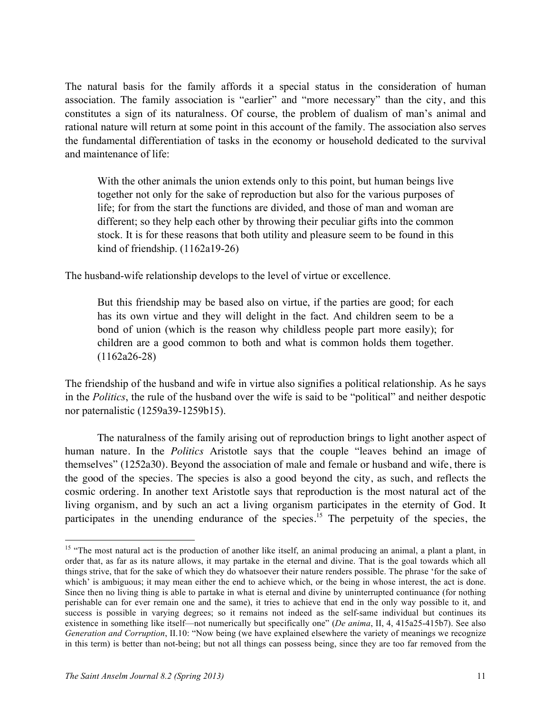The natural basis for the family affords it a special status in the consideration of human association. The family association is "earlier" and "more necessary" than the city, and this constitutes a sign of its naturalness. Of course, the problem of dualism of man's animal and rational nature will return at some point in this account of the family. The association also serves the fundamental differentiation of tasks in the economy or household dedicated to the survival and maintenance of life:

With the other animals the union extends only to this point, but human beings live together not only for the sake of reproduction but also for the various purposes of life; for from the start the functions are divided, and those of man and woman are different; so they help each other by throwing their peculiar gifts into the common stock. It is for these reasons that both utility and pleasure seem to be found in this kind of friendship. (1162a19-26)

The husband-wife relationship develops to the level of virtue or excellence.

But this friendship may be based also on virtue, if the parties are good; for each has its own virtue and they will delight in the fact. And children seem to be a bond of union (which is the reason why childless people part more easily); for children are a good common to both and what is common holds them together. (1162a26-28)

The friendship of the husband and wife in virtue also signifies a political relationship. As he says in the *Politics*, the rule of the husband over the wife is said to be "political" and neither despotic nor paternalistic (1259a39-1259b15).

The naturalness of the family arising out of reproduction brings to light another aspect of human nature. In the *Politics* Aristotle says that the couple "leaves behind an image of themselves" (1252a30). Beyond the association of male and female or husband and wife, there is the good of the species. The species is also a good beyond the city, as such, and reflects the cosmic ordering. In another text Aristotle says that reproduction is the most natural act of the living organism, and by such an act a living organism participates in the eternity of God. It participates in the unending endurance of the species.<sup>15</sup> The perpetuity of the species, the

<sup>&</sup>lt;sup>15</sup> "The most natural act is the production of another like itself, an animal producing an animal, a plant a plant, in order that, as far as its nature allows, it may partake in the eternal and divine. That is the goal towards which all things strive, that for the sake of which they do whatsoever their nature renders possible. The phrase 'for the sake of which' is ambiguous; it may mean either the end to achieve which, or the being in whose interest, the act is done. Since then no living thing is able to partake in what is eternal and divine by uninterrupted continuance (for nothing perishable can for ever remain one and the same), it tries to achieve that end in the only way possible to it, and success is possible in varying degrees; so it remains not indeed as the self-same individual but continues its existence in something like itself—not numerically but specifically one" (*De anima*, II, 4, 415a25-415b7). See also *Generation and Corruption*, II.10: "Now being (we have explained elsewhere the variety of meanings we recognize in this term) is better than not-being; but not all things can possess being, since they are too far removed from the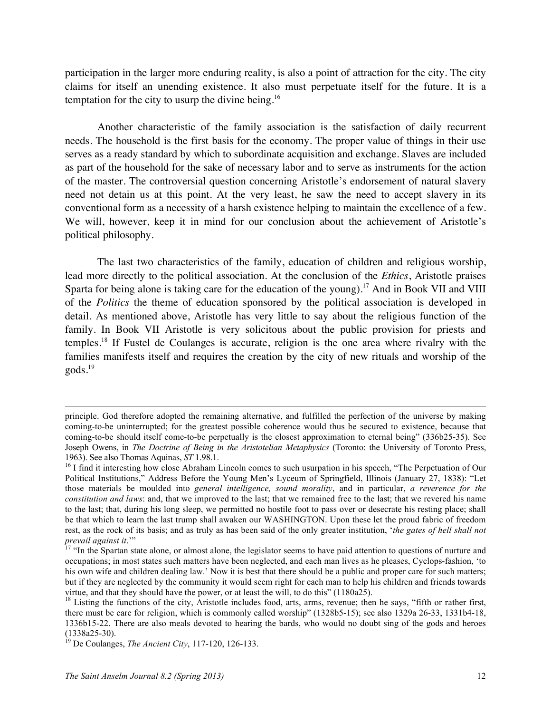participation in the larger more enduring reality, is also a point of attraction for the city. The city claims for itself an unending existence. It also must perpetuate itself for the future. It is a temptation for the city to usurp the divine being.<sup>16</sup>

Another characteristic of the family association is the satisfaction of daily recurrent needs. The household is the first basis for the economy. The proper value of things in their use serves as a ready standard by which to subordinate acquisition and exchange. Slaves are included as part of the household for the sake of necessary labor and to serve as instruments for the action of the master. The controversial question concerning Aristotle's endorsement of natural slavery need not detain us at this point. At the very least, he saw the need to accept slavery in its conventional form as a necessity of a harsh existence helping to maintain the excellence of a few. We will, however, keep it in mind for our conclusion about the achievement of Aristotle's political philosophy.

The last two characteristics of the family, education of children and religious worship, lead more directly to the political association. At the conclusion of the *Ethics*, Aristotle praises Sparta for being alone is taking care for the education of the young).<sup>17</sup> And in Book VII and VIII of the *Politics* the theme of education sponsored by the political association is developed in detail. As mentioned above, Aristotle has very little to say about the religious function of the family. In Book VII Aristotle is very solicitous about the public provision for priests and temples.18 If Fustel de Coulanges is accurate, religion is the one area where rivalry with the families manifests itself and requires the creation by the city of new rituals and worship of the gods.<sup>19</sup>

principle. God therefore adopted the remaining alternative, and fulfilled the perfection of the universe by making coming-to-be uninterrupted; for the greatest possible coherence would thus be secured to existence, because that coming-to-be should itself come-to-be perpetually is the closest approximation to eternal being" (336b25-35). See Joseph Owens, in *The Doctrine of Being in the Aristotelian Metaphysics* (Toronto: the University of Toronto Press, 1963). See also Thomas Aquinas, *ST* 1.98.1.<br><sup>16</sup> I find it interesting how close Abraham Lincoln comes to such usurpation in his speech, "The Perpetuation of Our

Political Institutions," Address Before the Young Men's Lyceum of Springfield, Illinois (January 27, 1838): "Let those materials be moulded into *general intelligence, sound morality*, and in particular, *a reverence for the constitution and laws*: and, that we improved to the last; that we remained free to the last; that we revered his name to the last; that, during his long sleep, we permitted no hostile foot to pass over or desecrate his resting place; shall be that which to learn the last trump shall awaken our WASHINGTON. Upon these let the proud fabric of freedom rest, as the rock of its basis; and as truly as has been said of the only greater institution, '*the gates of hell shall not* 

*prevail against it.*" The Spartan state alone, or almost alone, the legislator seems to have paid attention to questions of nurture and  $17$  "In the Spartan state alone, or almost alone, the legislator seems to have paid occupations; in most states such matters have been neglected, and each man lives as he pleases, Cyclops-fashion, 'to his own wife and children dealing law.' Now it is best that there should be a public and proper care for such matters; but if they are neglected by the community it would seem right for each man to help his children and friends towards virtue, and that they should have the power, or at least the will, to do this" (1180a25).

 $18$  Listing the functions of the city, Aristotle includes food, arts, arms, revenue; then he says, "fifth or rather first, there must be care for religion, which is commonly called worship" (1328b5-15); see also 1329a 26-33, 1331b4-18, 1336b15-22. There are also meals devoted to hearing the bards, who would no doubt sing of the gods and heroes (1338a25-30). <sup>19</sup> De Coulanges, *The Ancient City*, 117-120, 126-133.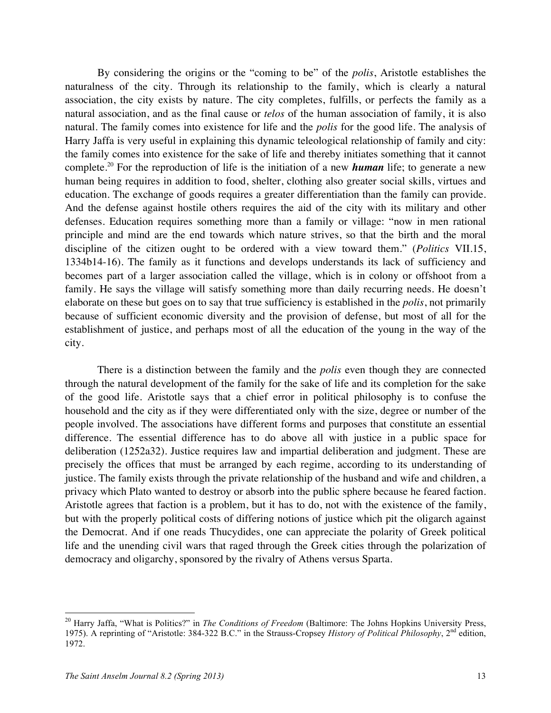By considering the origins or the "coming to be" of the *polis*, Aristotle establishes the naturalness of the city. Through its relationship to the family, which is clearly a natural association, the city exists by nature. The city completes, fulfills, or perfects the family as a natural association, and as the final cause or *telos* of the human association of family, it is also natural. The family comes into existence for life and the *polis* for the good life. The analysis of Harry Jaffa is very useful in explaining this dynamic teleological relationship of family and city: the family comes into existence for the sake of life and thereby initiates something that it cannot complete.<sup>20</sup> For the reproduction of life is the initiation of a new *human* life; to generate a new human being requires in addition to food, shelter, clothing also greater social skills, virtues and education. The exchange of goods requires a greater differentiation than the family can provide. And the defense against hostile others requires the aid of the city with its military and other defenses. Education requires something more than a family or village: "now in men rational principle and mind are the end towards which nature strives, so that the birth and the moral discipline of the citizen ought to be ordered with a view toward them." (*Politics* VII.15, 1334b14-16). The family as it functions and develops understands its lack of sufficiency and becomes part of a larger association called the village, which is in colony or offshoot from a family. He says the village will satisfy something more than daily recurring needs. He doesn't elaborate on these but goes on to say that true sufficiency is established in the *polis*, not primarily because of sufficient economic diversity and the provision of defense, but most of all for the establishment of justice, and perhaps most of all the education of the young in the way of the city.

There is a distinction between the family and the *polis* even though they are connected through the natural development of the family for the sake of life and its completion for the sake of the good life. Aristotle says that a chief error in political philosophy is to confuse the household and the city as if they were differentiated only with the size, degree or number of the people involved. The associations have different forms and purposes that constitute an essential difference. The essential difference has to do above all with justice in a public space for deliberation (1252a32). Justice requires law and impartial deliberation and judgment. These are precisely the offices that must be arranged by each regime, according to its understanding of justice. The family exists through the private relationship of the husband and wife and children, a privacy which Plato wanted to destroy or absorb into the public sphere because he feared faction. Aristotle agrees that faction is a problem, but it has to do, not with the existence of the family, but with the properly political costs of differing notions of justice which pit the oligarch against the Democrat. And if one reads Thucydides, one can appreciate the polarity of Greek political life and the unending civil wars that raged through the Greek cities through the polarization of democracy and oligarchy, sponsored by the rivalry of Athens versus Sparta.

 <sup>20</sup> Harry Jaffa, "What is Politics?" in *The Conditions of Freedom* (Baltimore: The Johns Hopkins University Press, 1975). A reprinting of "Aristotle: 384-322 B.C." in the Strauss-Cropsey *History of Political Philosophy*, 2nd edition, 1972.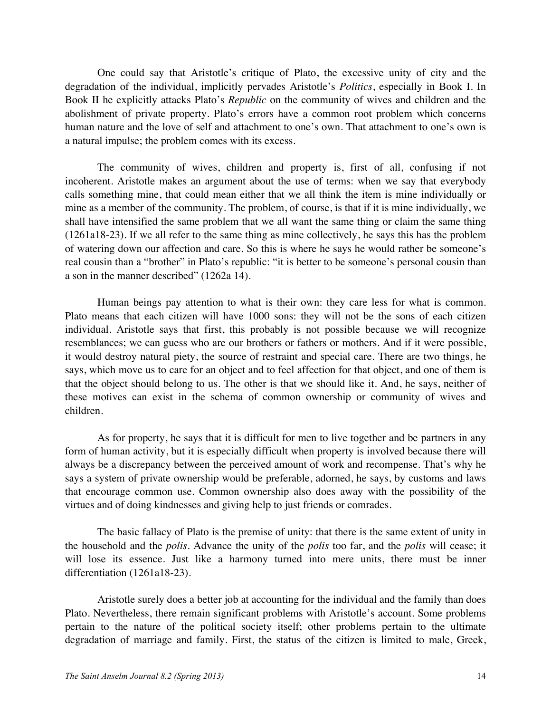One could say that Aristotle's critique of Plato, the excessive unity of city and the degradation of the individual, implicitly pervades Aristotle's *Politics*, especially in Book I. In Book II he explicitly attacks Plato's *Republic* on the community of wives and children and the abolishment of private property. Plato's errors have a common root problem which concerns human nature and the love of self and attachment to one's own. That attachment to one's own is a natural impulse; the problem comes with its excess.

The community of wives, children and property is, first of all, confusing if not incoherent. Aristotle makes an argument about the use of terms: when we say that everybody calls something mine, that could mean either that we all think the item is mine individually or mine as a member of the community. The problem, of course, is that if it is mine individually, we shall have intensified the same problem that we all want the same thing or claim the same thing (1261a18-23). If we all refer to the same thing as mine collectively, he says this has the problem of watering down our affection and care. So this is where he says he would rather be someone's real cousin than a "brother" in Plato's republic: "it is better to be someone's personal cousin than a son in the manner described" (1262a 14).

Human beings pay attention to what is their own: they care less for what is common. Plato means that each citizen will have 1000 sons: they will not be the sons of each citizen individual. Aristotle says that first, this probably is not possible because we will recognize resemblances; we can guess who are our brothers or fathers or mothers. And if it were possible, it would destroy natural piety, the source of restraint and special care. There are two things, he says, which move us to care for an object and to feel affection for that object, and one of them is that the object should belong to us. The other is that we should like it. And, he says, neither of these motives can exist in the schema of common ownership or community of wives and children.

As for property, he says that it is difficult for men to live together and be partners in any form of human activity, but it is especially difficult when property is involved because there will always be a discrepancy between the perceived amount of work and recompense. That's why he says a system of private ownership would be preferable, adorned, he says, by customs and laws that encourage common use. Common ownership also does away with the possibility of the virtues and of doing kindnesses and giving help to just friends or comrades.

The basic fallacy of Plato is the premise of unity: that there is the same extent of unity in the household and the *polis*. Advance the unity of the *polis* too far, and the *polis* will cease; it will lose its essence. Just like a harmony turned into mere units, there must be inner differentiation (1261a18-23).

Aristotle surely does a better job at accounting for the individual and the family than does Plato. Nevertheless, there remain significant problems with Aristotle's account. Some problems pertain to the nature of the political society itself; other problems pertain to the ultimate degradation of marriage and family. First, the status of the citizen is limited to male, Greek,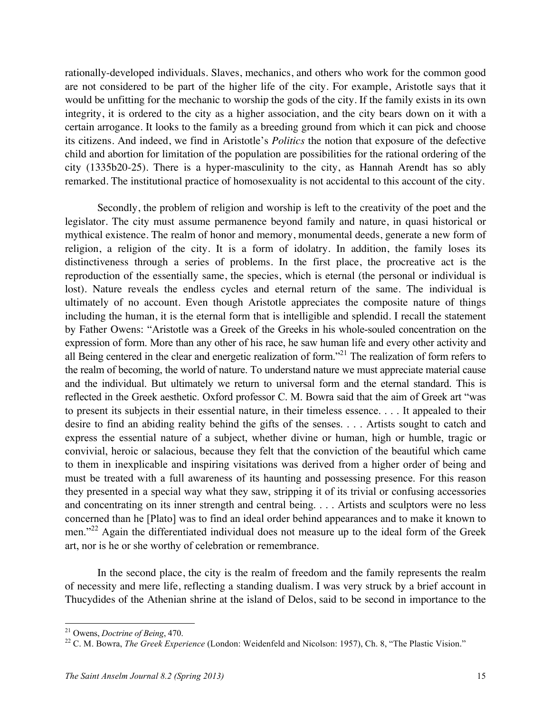rationally-developed individuals. Slaves, mechanics, and others who work for the common good are not considered to be part of the higher life of the city. For example, Aristotle says that it would be unfitting for the mechanic to worship the gods of the city. If the family exists in its own integrity, it is ordered to the city as a higher association, and the city bears down on it with a certain arrogance. It looks to the family as a breeding ground from which it can pick and choose its citizens. And indeed, we find in Aristotle's *Politics* the notion that exposure of the defective child and abortion for limitation of the population are possibilities for the rational ordering of the city (1335b20-25). There is a hyper-masculinity to the city, as Hannah Arendt has so ably remarked. The institutional practice of homosexuality is not accidental to this account of the city.

Secondly, the problem of religion and worship is left to the creativity of the poet and the legislator. The city must assume permanence beyond family and nature, in quasi historical or mythical existence. The realm of honor and memory, monumental deeds, generate a new form of religion, a religion of the city. It is a form of idolatry. In addition, the family loses its distinctiveness through a series of problems. In the first place, the procreative act is the reproduction of the essentially same, the species, which is eternal (the personal or individual is lost). Nature reveals the endless cycles and eternal return of the same. The individual is ultimately of no account. Even though Aristotle appreciates the composite nature of things including the human, it is the eternal form that is intelligible and splendid. I recall the statement by Father Owens: "Aristotle was a Greek of the Greeks in his whole-souled concentration on the expression of form. More than any other of his race, he saw human life and every other activity and all Being centered in the clear and energetic realization of form.<sup>321</sup> The realization of form refers to the realm of becoming, the world of nature. To understand nature we must appreciate material cause and the individual. But ultimately we return to universal form and the eternal standard. This is reflected in the Greek aesthetic. Oxford professor C. M. Bowra said that the aim of Greek art "was to present its subjects in their essential nature, in their timeless essence. . . . It appealed to their desire to find an abiding reality behind the gifts of the senses. . . . Artists sought to catch and express the essential nature of a subject, whether divine or human, high or humble, tragic or convivial, heroic or salacious, because they felt that the conviction of the beautiful which came to them in inexplicable and inspiring visitations was derived from a higher order of being and must be treated with a full awareness of its haunting and possessing presence. For this reason they presented in a special way what they saw, stripping it of its trivial or confusing accessories and concentrating on its inner strength and central being. . . . Artists and sculptors were no less concerned than he [Plato] was to find an ideal order behind appearances and to make it known to men."<sup>22</sup> Again the differentiated individual does not measure up to the ideal form of the Greek art, nor is he or she worthy of celebration or remembrance.

In the second place, the city is the realm of freedom and the family represents the realm of necessity and mere life, reflecting a standing dualism. I was very struck by a brief account in Thucydides of the Athenian shrine at the island of Delos, said to be second in importance to the

<sup>&</sup>lt;sup>21</sup> Owens, *Doctrine of Being*, 470.<br><sup>22</sup> C. M. Bowra, *The Greek Experience* (London: Weidenfeld and Nicolson: 1957), Ch. 8, "The Plastic Vision."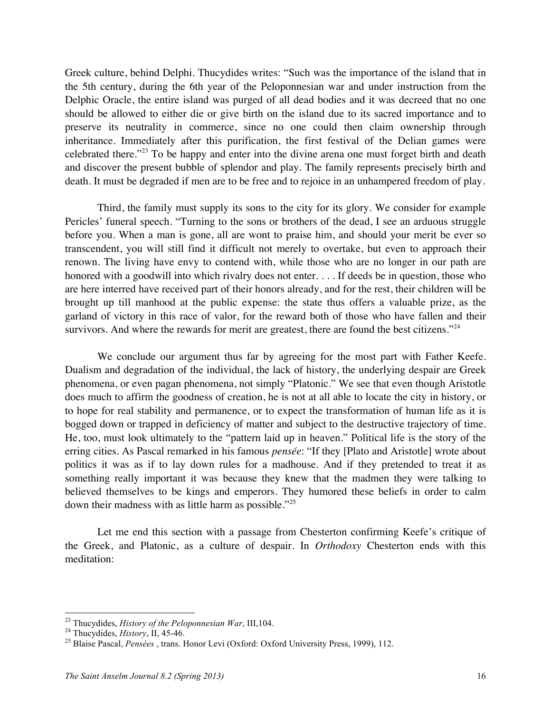Greek culture, behind Delphi. Thucydides writes: "Such was the importance of the island that in the 5th century, during the 6th year of the Peloponnesian war and under instruction from the Delphic Oracle, the entire island was purged of all dead bodies and it was decreed that no one should be allowed to either die or give birth on the island due to its sacred importance and to preserve its neutrality in commerce, since no one could then claim ownership through inheritance. Immediately after this purification, the first festival of the Delian games were celebrated there."<sup>23</sup> To be happy and enter into the divine arena one must forget birth and death and discover the present bubble of splendor and play. The family represents precisely birth and death. It must be degraded if men are to be free and to rejoice in an unhampered freedom of play.

Third, the family must supply its sons to the city for its glory. We consider for example Pericles' funeral speech. "Turning to the sons or brothers of the dead, I see an arduous struggle before you. When a man is gone, all are wont to praise him, and should your merit be ever so transcendent, you will still find it difficult not merely to overtake, but even to approach their renown. The living have envy to contend with, while those who are no longer in our path are honored with a goodwill into which rivalry does not enter. . . . If deeds be in question, those who are here interred have received part of their honors already, and for the rest, their children will be brought up till manhood at the public expense: the state thus offers a valuable prize, as the garland of victory in this race of valor, for the reward both of those who have fallen and their survivors. And where the rewards for merit are greatest, there are found the best citizens."<sup>24</sup>

We conclude our argument thus far by agreeing for the most part with Father Keefe. Dualism and degradation of the individual, the lack of history, the underlying despair are Greek phenomena, or even pagan phenomena, not simply "Platonic." We see that even though Aristotle does much to affirm the goodness of creation, he is not at all able to locate the city in history, or to hope for real stability and permanence, or to expect the transformation of human life as it is bogged down or trapped in deficiency of matter and subject to the destructive trajectory of time. He, too, must look ultimately to the "pattern laid up in heaven." Political life is the story of the erring cities. As Pascal remarked in his famous *pensée*: "If they [Plato and Aristotle] wrote about politics it was as if to lay down rules for a madhouse. And if they pretended to treat it as something really important it was because they knew that the madmen they were talking to believed themselves to be kings and emperors. They humored these beliefs in order to calm down their madness with as little harm as possible."25

Let me end this section with a passage from Chesterton confirming Keefe's critique of the Greek, and Platonic, as a culture of despair. In *Orthodoxy* Chesterton ends with this meditation:

<sup>&</sup>lt;sup>23</sup> Thucydides, *History of the Peloponnesian War*, III, 104.<br><sup>24</sup> Thucydides, *History*, II, 45-46.<br><sup>25</sup> Blaise Pascal, *Pensées*, trans. Honor Levi (Oxford: Oxford University Press, 1999), 112.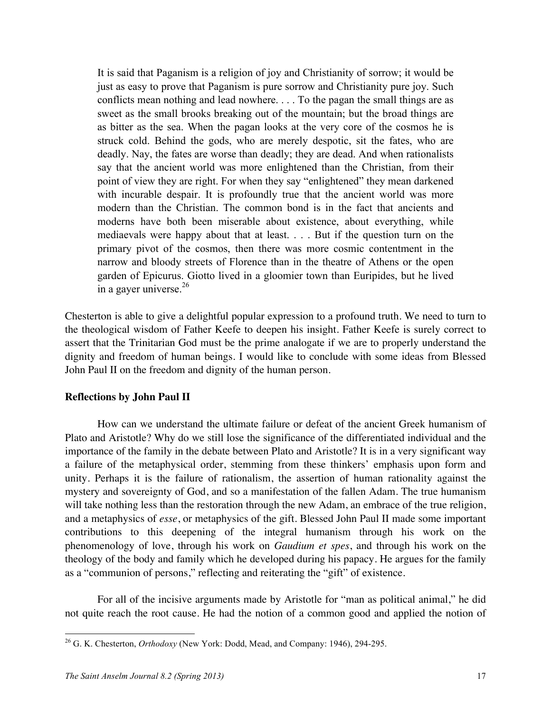It is said that Paganism is a religion of joy and Christianity of sorrow; it would be just as easy to prove that Paganism is pure sorrow and Christianity pure joy. Such conflicts mean nothing and lead nowhere. . . . To the pagan the small things are as sweet as the small brooks breaking out of the mountain; but the broad things are as bitter as the sea. When the pagan looks at the very core of the cosmos he is struck cold. Behind the gods, who are merely despotic, sit the fates, who are deadly. Nay, the fates are worse than deadly; they are dead. And when rationalists say that the ancient world was more enlightened than the Christian, from their point of view they are right. For when they say "enlightened" they mean darkened with incurable despair. It is profoundly true that the ancient world was more modern than the Christian. The common bond is in the fact that ancients and moderns have both been miserable about existence, about everything, while mediaevals were happy about that at least. . . . But if the question turn on the primary pivot of the cosmos, then there was more cosmic contentment in the narrow and bloody streets of Florence than in the theatre of Athens or the open garden of Epicurus. Giotto lived in a gloomier town than Euripides, but he lived in a gayer universe. 26

Chesterton is able to give a delightful popular expression to a profound truth. We need to turn to the theological wisdom of Father Keefe to deepen his insight. Father Keefe is surely correct to assert that the Trinitarian God must be the prime analogate if we are to properly understand the dignity and freedom of human beings. I would like to conclude with some ideas from Blessed John Paul II on the freedom and dignity of the human person.

#### **Reflections by John Paul II**

How can we understand the ultimate failure or defeat of the ancient Greek humanism of Plato and Aristotle? Why do we still lose the significance of the differentiated individual and the importance of the family in the debate between Plato and Aristotle? It is in a very significant way a failure of the metaphysical order, stemming from these thinkers' emphasis upon form and unity. Perhaps it is the failure of rationalism, the assertion of human rationality against the mystery and sovereignty of God, and so a manifestation of the fallen Adam. The true humanism will take nothing less than the restoration through the new Adam, an embrace of the true religion, and a metaphysics of *esse*, or metaphysics of the gift. Blessed John Paul II made some important contributions to this deepening of the integral humanism through his work on the phenomenology of love, through his work on *Gaudium et spes*, and through his work on the theology of the body and family which he developed during his papacy. He argues for the family as a "communion of persons," reflecting and reiterating the "gift" of existence.

For all of the incisive arguments made by Aristotle for "man as political animal," he did not quite reach the root cause. He had the notion of a common good and applied the notion of

 <sup>26</sup> G. K. Chesterton, *Orthodoxy* (New York: Dodd, Mead, and Company: 1946), 294-295.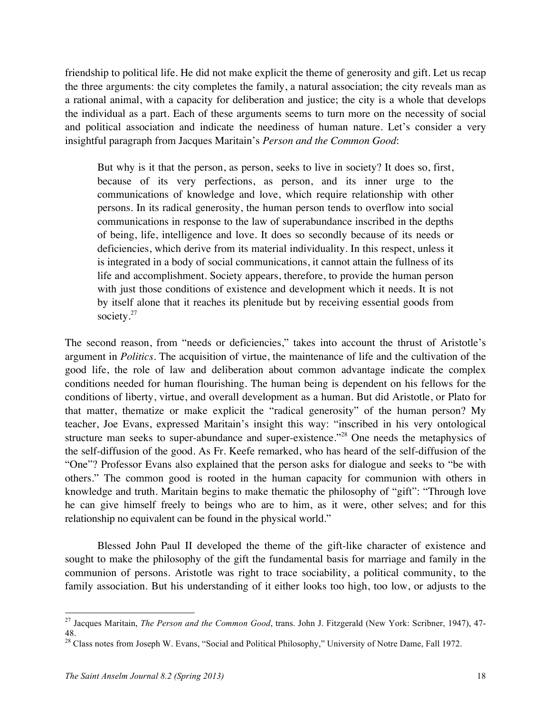friendship to political life. He did not make explicit the theme of generosity and gift. Let us recap the three arguments: the city completes the family, a natural association; the city reveals man as a rational animal, with a capacity for deliberation and justice; the city is a whole that develops the individual as a part. Each of these arguments seems to turn more on the necessity of social and political association and indicate the neediness of human nature. Let's consider a very insightful paragraph from Jacques Maritain's *Person and the Common Good*:

But why is it that the person, as person, seeks to live in society? It does so, first, because of its very perfections, as person, and its inner urge to the communications of knowledge and love, which require relationship with other persons. In its radical generosity, the human person tends to overflow into social communications in response to the law of superabundance inscribed in the depths of being, life, intelligence and love. It does so secondly because of its needs or deficiencies, which derive from its material individuality. In this respect, unless it is integrated in a body of social communications, it cannot attain the fullness of its life and accomplishment. Society appears, therefore, to provide the human person with just those conditions of existence and development which it needs. It is not by itself alone that it reaches its plenitude but by receiving essential goods from society.<sup>27</sup>

The second reason, from "needs or deficiencies," takes into account the thrust of Aristotle's argument in *Politics*. The acquisition of virtue, the maintenance of life and the cultivation of the good life, the role of law and deliberation about common advantage indicate the complex conditions needed for human flourishing. The human being is dependent on his fellows for the conditions of liberty, virtue, and overall development as a human. But did Aristotle, or Plato for that matter, thematize or make explicit the "radical generosity" of the human person? My teacher, Joe Evans, expressed Maritain's insight this way: "inscribed in his very ontological structure man seeks to super-abundance and super-existence."<sup>28</sup> One needs the metaphysics of the self-diffusion of the good. As Fr. Keefe remarked, who has heard of the self-diffusion of the "One"? Professor Evans also explained that the person asks for dialogue and seeks to "be with others." The common good is rooted in the human capacity for communion with others in knowledge and truth. Maritain begins to make thematic the philosophy of "gift": "Through love he can give himself freely to beings who are to him, as it were, other selves; and for this relationship no equivalent can be found in the physical world."

Blessed John Paul II developed the theme of the gift-like character of existence and sought to make the philosophy of the gift the fundamental basis for marriage and family in the communion of persons. Aristotle was right to trace sociability, a political community, to the family association. But his understanding of it either looks too high, too low, or adjusts to the

<sup>&</sup>lt;sup>27</sup> Jacques Maritain, *The Person and the Common Good*, trans. John J. Fitzgerald (New York: Scribner, 1947), 47-48.

<sup>&</sup>lt;sup>28</sup> Class notes from Joseph W. Evans, "Social and Political Philosophy," University of Notre Dame, Fall 1972.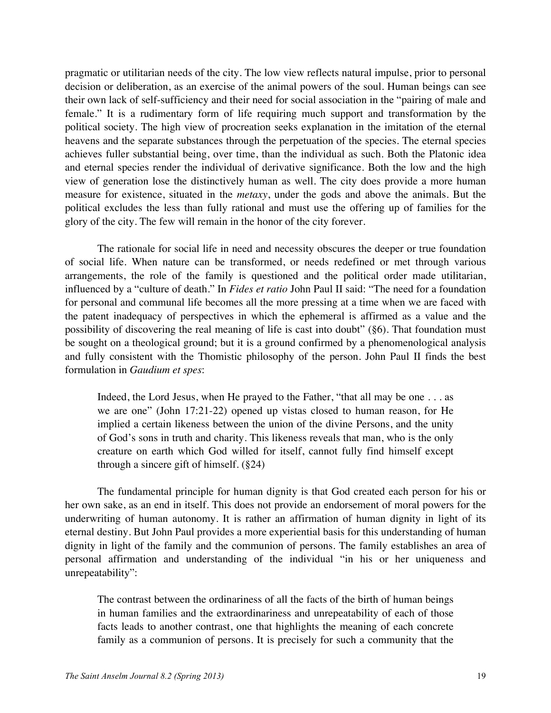pragmatic or utilitarian needs of the city. The low view reflects natural impulse, prior to personal decision or deliberation, as an exercise of the animal powers of the soul. Human beings can see their own lack of self-sufficiency and their need for social association in the "pairing of male and female." It is a rudimentary form of life requiring much support and transformation by the political society. The high view of procreation seeks explanation in the imitation of the eternal heavens and the separate substances through the perpetuation of the species. The eternal species achieves fuller substantial being, over time, than the individual as such. Both the Platonic idea and eternal species render the individual of derivative significance. Both the low and the high view of generation lose the distinctively human as well. The city does provide a more human measure for existence, situated in the *metaxy*, under the gods and above the animals. But the political excludes the less than fully rational and must use the offering up of families for the glory of the city. The few will remain in the honor of the city forever.

The rationale for social life in need and necessity obscures the deeper or true foundation of social life. When nature can be transformed, or needs redefined or met through various arrangements, the role of the family is questioned and the political order made utilitarian, influenced by a "culture of death." In *Fides et ratio* John Paul II said: "The need for a foundation for personal and communal life becomes all the more pressing at a time when we are faced with the patent inadequacy of perspectives in which the ephemeral is affirmed as a value and the possibility of discovering the real meaning of life is cast into doubt" (§6). That foundation must be sought on a theological ground; but it is a ground confirmed by a phenomenological analysis and fully consistent with the Thomistic philosophy of the person. John Paul II finds the best formulation in *Gaudium et spes*:

Indeed, the Lord Jesus, when He prayed to the Father, "that all may be one . . . as we are one" (John 17:21-22) opened up vistas closed to human reason, for He implied a certain likeness between the union of the divine Persons, and the unity of God's sons in truth and charity. This likeness reveals that man, who is the only creature on earth which God willed for itself, cannot fully find himself except through a sincere gift of himself. (§24)

The fundamental principle for human dignity is that God created each person for his or her own sake, as an end in itself. This does not provide an endorsement of moral powers for the underwriting of human autonomy. It is rather an affirmation of human dignity in light of its eternal destiny. But John Paul provides a more experiential basis for this understanding of human dignity in light of the family and the communion of persons. The family establishes an area of personal affirmation and understanding of the individual "in his or her uniqueness and unrepeatability":

The contrast between the ordinariness of all the facts of the birth of human beings in human families and the extraordinariness and unrepeatability of each of those facts leads to another contrast, one that highlights the meaning of each concrete family as a communion of persons. It is precisely for such a community that the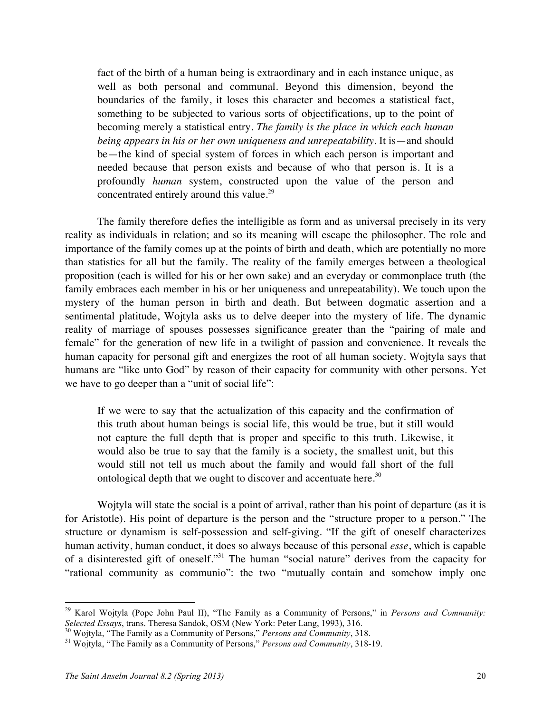fact of the birth of a human being is extraordinary and in each instance unique, as well as both personal and communal. Beyond this dimension, beyond the boundaries of the family, it loses this character and becomes a statistical fact, something to be subjected to various sorts of objectifications, up to the point of becoming merely a statistical entry. *The family is the place in which each human being appears in his or her own uniqueness and unrepeatability.* It is—and should be—the kind of special system of forces in which each person is important and needed because that person exists and because of who that person is. It is a profoundly *human* system, constructed upon the value of the person and concentrated entirely around this value.<sup>29</sup>

The family therefore defies the intelligible as form and as universal precisely in its very reality as individuals in relation; and so its meaning will escape the philosopher. The role and importance of the family comes up at the points of birth and death, which are potentially no more than statistics for all but the family. The reality of the family emerges between a theological proposition (each is willed for his or her own sake) and an everyday or commonplace truth (the family embraces each member in his or her uniqueness and unrepeatability). We touch upon the mystery of the human person in birth and death. But between dogmatic assertion and a sentimental platitude, Wojtyla asks us to delve deeper into the mystery of life. The dynamic reality of marriage of spouses possesses significance greater than the "pairing of male and female" for the generation of new life in a twilight of passion and convenience. It reveals the human capacity for personal gift and energizes the root of all human society. Wojtyla says that humans are "like unto God" by reason of their capacity for community with other persons. Yet we have to go deeper than a "unit of social life":

If we were to say that the actualization of this capacity and the confirmation of this truth about human beings is social life, this would be true, but it still would not capture the full depth that is proper and specific to this truth. Likewise, it would also be true to say that the family is a society, the smallest unit, but this would still not tell us much about the family and would fall short of the full ontological depth that we ought to discover and accentuate here. $30$ 

Wojtyla will state the social is a point of arrival, rather than his point of departure (as it is for Aristotle). His point of departure is the person and the "structure proper to a person." The structure or dynamism is self-possession and self-giving. "If the gift of oneself characterizes human activity, human conduct, it does so always because of this personal *esse*, which is capable of a disinterested gift of oneself."31 The human "social nature" derives from the capacity for "rational community as communio": the two "mutually contain and somehow imply one

 <sup>29</sup> Karol Wojtyla (Pope John Paul II), "The Family as a Community of Persons," in *Persons and Community:*  Selected Essays, trans. Theresa Sandok, OSM (New York: Peter Lang, 1993), 316.<br><sup>30</sup> Wojtyla, "The Family as a Community of Persons," *Persons and Community*, 318.<br><sup>31</sup> Wojtyla, "The Family as a Community of Persons," *Pers*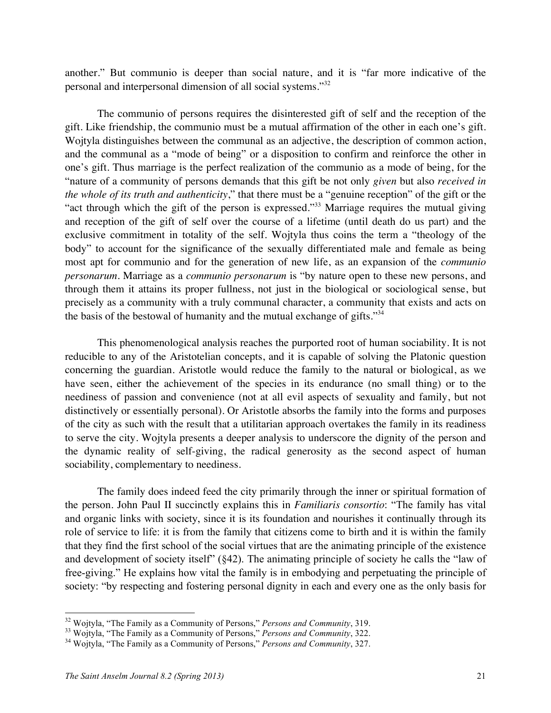another." But communio is deeper than social nature, and it is "far more indicative of the personal and interpersonal dimension of all social systems."<sup>32</sup>

The communio of persons requires the disinterested gift of self and the reception of the gift. Like friendship, the communio must be a mutual affirmation of the other in each one's gift. Wojtyla distinguishes between the communal as an adjective, the description of common action, and the communal as a "mode of being" or a disposition to confirm and reinforce the other in one's gift. Thus marriage is the perfect realization of the communio as a mode of being, for the "nature of a community of persons demands that this gift be not only *given* but also *received in the whole of its truth and authenticity*," that there must be a "genuine reception" of the gift or the "act through which the gift of the person is expressed."33 Marriage requires the mutual giving and reception of the gift of self over the course of a lifetime (until death do us part) and the exclusive commitment in totality of the self. Wojtyla thus coins the term a "theology of the body" to account for the significance of the sexually differentiated male and female as being most apt for communio and for the generation of new life, as an expansion of the *communio personarum*. Marriage as a *communio personarum* is "by nature open to these new persons, and through them it attains its proper fullness, not just in the biological or sociological sense, but precisely as a community with a truly communal character, a community that exists and acts on the basis of the bestowal of humanity and the mutual exchange of gifts."<sup>34</sup>

This phenomenological analysis reaches the purported root of human sociability. It is not reducible to any of the Aristotelian concepts, and it is capable of solving the Platonic question concerning the guardian. Aristotle would reduce the family to the natural or biological, as we have seen, either the achievement of the species in its endurance (no small thing) or to the neediness of passion and convenience (not at all evil aspects of sexuality and family, but not distinctively or essentially personal). Or Aristotle absorbs the family into the forms and purposes of the city as such with the result that a utilitarian approach overtakes the family in its readiness to serve the city. Wojtyla presents a deeper analysis to underscore the dignity of the person and the dynamic reality of self-giving, the radical generosity as the second aspect of human sociability, complementary to neediness.

The family does indeed feed the city primarily through the inner or spiritual formation of the person. John Paul II succinctly explains this in *Familiaris consortio*: "The family has vital and organic links with society, since it is its foundation and nourishes it continually through its role of service to life: it is from the family that citizens come to birth and it is within the family that they find the first school of the social virtues that are the animating principle of the existence and development of society itself" (§42). The animating principle of society he calls the "law of free-giving." He explains how vital the family is in embodying and perpetuating the principle of society: "by respecting and fostering personal dignity in each and every one as the only basis for

<sup>&</sup>lt;sup>32</sup> Wojtyla, "The Family as a Community of Persons," *Persons and Community*, 319.<br><sup>33</sup> Wojtyla, "The Family as a Community of Persons," *Persons and Community*, 322.<br><sup>34</sup> Wojtyla, "The Family as a Community of Persons,"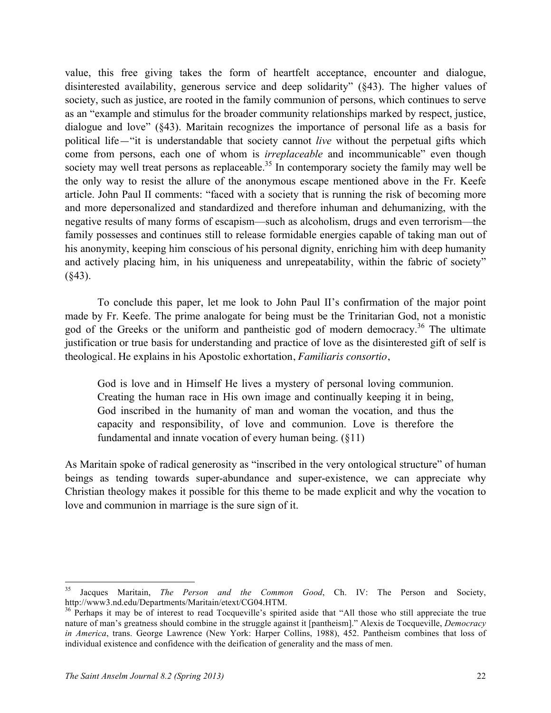value, this free giving takes the form of heartfelt acceptance, encounter and dialogue, disinterested availability, generous service and deep solidarity" (§43). The higher values of society, such as justice, are rooted in the family communion of persons, which continues to serve as an "example and stimulus for the broader community relationships marked by respect, justice, dialogue and love" (§43). Maritain recognizes the importance of personal life as a basis for political life—"it is understandable that society cannot *live* without the perpetual gifts which come from persons, each one of whom is *irreplaceable* and incommunicable" even though society may well treat persons as replaceable.<sup>35</sup> In contemporary society the family may well be the only way to resist the allure of the anonymous escape mentioned above in the Fr. Keefe article. John Paul II comments: "faced with a society that is running the risk of becoming more and more depersonalized and standardized and therefore inhuman and dehumanizing, with the negative results of many forms of escapism—such as alcoholism, drugs and even terrorism—the family possesses and continues still to release formidable energies capable of taking man out of his anonymity, keeping him conscious of his personal dignity, enriching him with deep humanity and actively placing him, in his uniqueness and unrepeatability, within the fabric of society"  $(843)$ .

To conclude this paper, let me look to John Paul II's confirmation of the major point made by Fr. Keefe. The prime analogate for being must be the Trinitarian God, not a monistic god of the Greeks or the uniform and pantheistic god of modern democracy.<sup>36</sup> The ultimate justification or true basis for understanding and practice of love as the disinterested gift of self is theological. He explains in his Apostolic exhortation, *Familiaris consortio*,

God is love and in Himself He lives a mystery of personal loving communion. Creating the human race in His own image and continually keeping it in being, God inscribed in the humanity of man and woman the vocation, and thus the capacity and responsibility, of love and communion. Love is therefore the fundamental and innate vocation of every human being. (§11)

As Maritain spoke of radical generosity as "inscribed in the very ontological structure" of human beings as tending towards super-abundance and super-existence, we can appreciate why Christian theology makes it possible for this theme to be made explicit and why the vocation to love and communion in marriage is the sure sign of it.

 <sup>35</sup> Jacques Maritain, *The Person and the Common Good*, Ch. IV: The Person and Society, http://www3.nd.edu/Departments/Maritain/etext/CG04.HTM.<br><sup>36</sup> Perhaps it may be of interest to read Tocqueville's spirited aside that "All those who still appreciate the true

nature of man's greatness should combine in the struggle against it [pantheism]." Alexis de Tocqueville, *Democracy in America*, trans. George Lawrence (New York: Harper Collins, 1988), 452. Pantheism combines that loss of individual existence and confidence with the deification of generality and the mass of men.